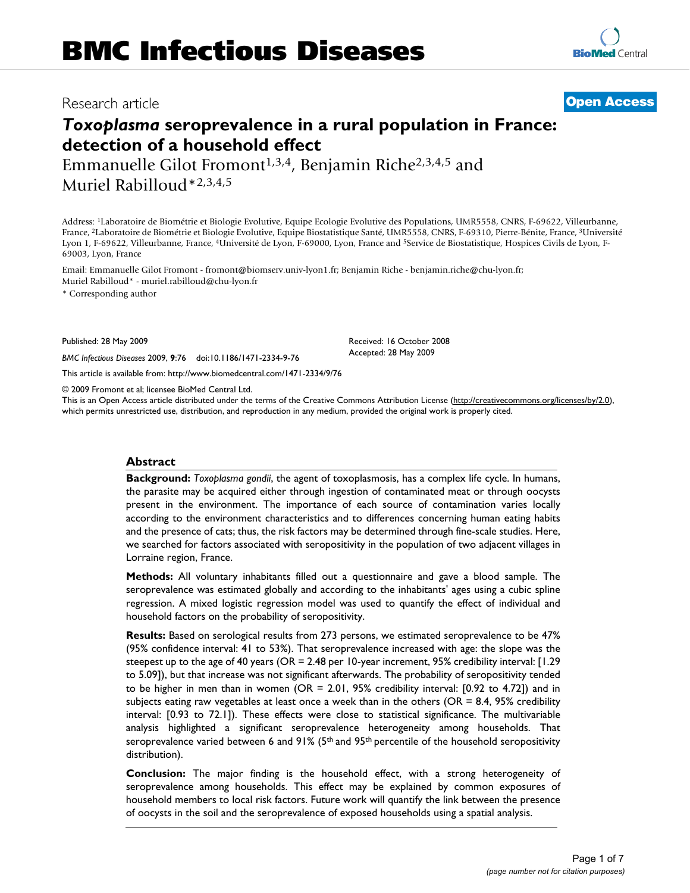# Research article **[Open Access](http://www.biomedcentral.com/info/about/charter/)**

**[BioMed](http://www.biomedcentral.com/)** Central

# *Toxoplasma* **seroprevalence in a rural population in France: detection of a household effect**

Emmanuelle Gilot Fromont<sup>1,3,4</sup>, Benjamin Riche<sup>2,3,4,5</sup> and Muriel Rabilloud\*2,3,4,5

Address: 1Laboratoire de Biométrie et Biologie Evolutive, Equipe Ecologie Evolutive des Populations, UMR5558, CNRS, F-69622, Villeurbanne, France, 2Laboratoire de Biométrie et Biologie Evolutive, Equipe Biostatistique Santé, UMR5558, CNRS, F-69310, Pierre-Bénite, France, 3Université Lyon 1, F-69622, Villeurbanne, France, 4Université de Lyon, F-69000, Lyon, France and 5Service de Biostatistique, Hospices Civils de Lyon, F-69003, Lyon, France

Email: Emmanuelle Gilot Fromont - fromont@biomserv.univ-lyon1.fr; Benjamin Riche - benjamin.riche@chu-lyon.fr; Muriel Rabilloud\* - muriel.rabilloud@chu-lyon.fr

\* Corresponding author

Published: 28 May 2009

*BMC Infectious Diseases* 2009, **9**:76 doi:10.1186/1471-2334-9-76

[This article is available from: http://www.biomedcentral.com/1471-2334/9/76](http://www.biomedcentral.com/1471-2334/9/76)

© 2009 Fromont et al; licensee BioMed Central Ltd.

This is an Open Access article distributed under the terms of the Creative Commons Attribution License [\(http://creativecommons.org/licenses/by/2.0\)](http://creativecommons.org/licenses/by/2.0), which permits unrestricted use, distribution, and reproduction in any medium, provided the original work is properly cited.

Received: 16 October 2008 Accepted: 28 May 2009

# **Abstract**

**Background:** *Toxoplasma gondii*, the agent of toxoplasmosis, has a complex life cycle. In humans, the parasite may be acquired either through ingestion of contaminated meat or through oocysts present in the environment. The importance of each source of contamination varies locally according to the environment characteristics and to differences concerning human eating habits and the presence of cats; thus, the risk factors may be determined through fine-scale studies. Here, we searched for factors associated with seropositivity in the population of two adjacent villages in Lorraine region, France.

**Methods:** All voluntary inhabitants filled out a questionnaire and gave a blood sample. The seroprevalence was estimated globally and according to the inhabitants' ages using a cubic spline regression. A mixed logistic regression model was used to quantify the effect of individual and household factors on the probability of seropositivity.

**Results:** Based on serological results from 273 persons, we estimated seroprevalence to be 47% (95% confidence interval: 41 to 53%). That seroprevalence increased with age: the slope was the steepest up to the age of 40 years (OR = 2.48 per 10-year increment, 95% credibility interval: [1.29 to 5.09]), but that increase was not significant afterwards. The probability of seropositivity tended to be higher in men than in women (OR = 2.01, 95% credibility interval: [0.92 to 4.72]) and in subjects eating raw vegetables at least once a week than in the others ( $OR = 8.4$ ,  $95\%$  credibility interval: [0.93 to 72.1]). These effects were close to statistical significance. The multivariable analysis highlighted a significant seroprevalence heterogeneity among households. That seroprevalence varied between 6 and 91% ( $5<sup>th</sup>$  and 95<sup>th</sup> percentile of the household seropositivity distribution).

**Conclusion:** The major finding is the household effect, with a strong heterogeneity of seroprevalence among households. This effect may be explained by common exposures of household members to local risk factors. Future work will quantify the link between the presence of oocysts in the soil and the seroprevalence of exposed households using a spatial analysis.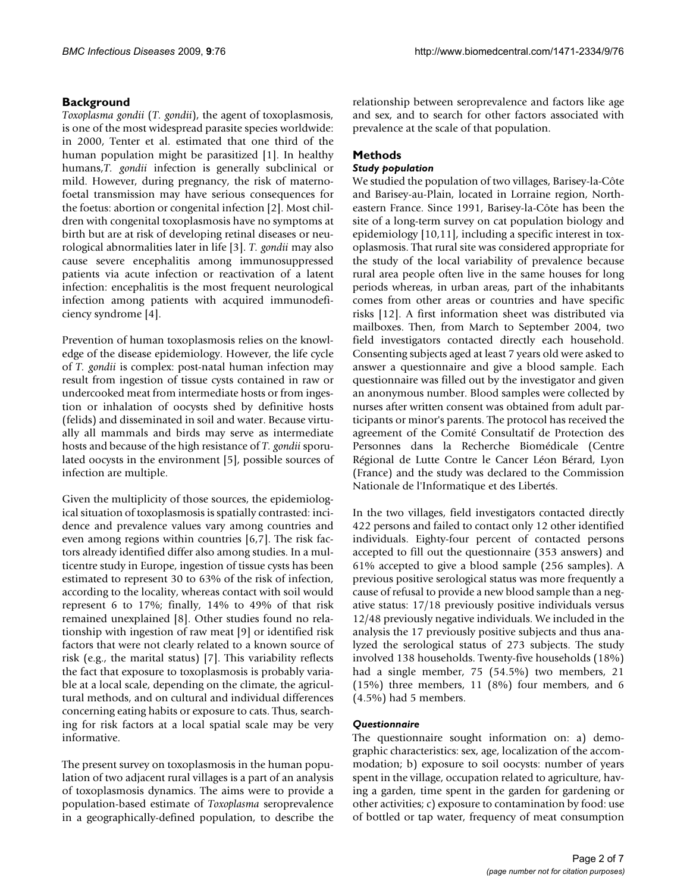# **Background**

*Toxoplasma gondii* (*T. gondii*), the agent of toxoplasmosis, is one of the most widespread parasite species worldwide: in 2000, Tenter et al. estimated that one third of the human population might be parasitized [1]. In healthy humans,*T. gondii* infection is generally subclinical or mild. However, during pregnancy, the risk of maternofoetal transmission may have serious consequences for the foetus: abortion or congenital infection [2]. Most children with congenital toxoplasmosis have no symptoms at birth but are at risk of developing retinal diseases or neurological abnormalities later in life [3]. *T. gondii* may also cause severe encephalitis among immunosuppressed patients via acute infection or reactivation of a latent infection: encephalitis is the most frequent neurological infection among patients with acquired immunodeficiency syndrome [4].

Prevention of human toxoplasmosis relies on the knowledge of the disease epidemiology. However, the life cycle of *T. gondii* is complex: post-natal human infection may result from ingestion of tissue cysts contained in raw or undercooked meat from intermediate hosts or from ingestion or inhalation of oocysts shed by definitive hosts (felids) and disseminated in soil and water. Because virtually all mammals and birds may serve as intermediate hosts and because of the high resistance of *T. gondii* sporulated oocysts in the environment [5], possible sources of infection are multiple.

Given the multiplicity of those sources, the epidemiological situation of toxoplasmosis is spatially contrasted: incidence and prevalence values vary among countries and even among regions within countries [6,7]. The risk factors already identified differ also among studies. In a multicentre study in Europe, ingestion of tissue cysts has been estimated to represent 30 to 63% of the risk of infection, according to the locality, whereas contact with soil would represent 6 to 17%; finally, 14% to 49% of that risk remained unexplained [8]. Other studies found no relationship with ingestion of raw meat [[9](#page-6-0)] or identified risk factors that were not clearly related to a known source of risk (e.g., the marital status) [7]. This variability reflects the fact that exposure to toxoplasmosis is probably variable at a local scale, depending on the climate, the agricultural methods, and on cultural and individual differences concerning eating habits or exposure to cats. Thus, searching for risk factors at a local spatial scale may be very informative.

The present survey on toxoplasmosis in the human population of two adjacent rural villages is a part of an analysis of toxoplasmosis dynamics. The aims were to provide a population-based estimate of *Toxoplasma* seroprevalence in a geographically-defined population, to describe the relationship between seroprevalence and factors like age and sex, and to search for other factors associated with prevalence at the scale of that population.

# **Methods**

#### *Study population*

We studied the population of two villages, Barisey-la-Côte and Barisey-au-Plain, located in Lorraine region, Northeastern France. Since 1991, Barisey-la-Côte has been the site of a long-term survey on cat population biology and epidemiology [10,11], including a specific interest in toxoplasmosis. That rural site was considered appropriate for the study of the local variability of prevalence because rural area people often live in the same houses for long periods whereas, in urban areas, part of the inhabitants comes from other areas or countries and have specific risks [12]. A first information sheet was distributed via mailboxes. Then, from March to September 2004, two field investigators contacted directly each household. Consenting subjects aged at least 7 years old were asked to answer a questionnaire and give a blood sample. Each questionnaire was filled out by the investigator and given an anonymous number. Blood samples were collected by nurses after written consent was obtained from adult participants or minor's parents. The protocol has received the agreement of the Comité Consultatif de Protection des Personnes dans la Recherche Biomédicale (Centre Régional de Lutte Contre le Cancer Léon Bérard, Lyon (France) and the study was declared to the Commission Nationale de l'Informatique et des Libertés.

In the two villages, field investigators contacted directly 422 persons and failed to contact only 12 other identified individuals. Eighty-four percent of contacted persons accepted to fill out the questionnaire (353 answers) and 61% accepted to give a blood sample (256 samples). A previous positive serological status was more frequently a cause of refusal to provide a new blood sample than a negative status: 17/18 previously positive individuals versus 12/48 previously negative individuals. We included in the analysis the 17 previously positive subjects and thus analyzed the serological status of 273 subjects. The study involved 138 households. Twenty-five households (18%) had a single member, 75 (54.5%) two members, 21 (15%) three members, 11 (8%) four members, and 6 (4.5%) had 5 members.

# *Questionnaire*

The questionnaire sought information on: a) demographic characteristics: sex, age, localization of the accommodation; b) exposure to soil oocysts: number of years spent in the village, occupation related to agriculture, having a garden, time spent in the garden for gardening or other activities; c) exposure to contamination by food: use of bottled or tap water, frequency of meat consumption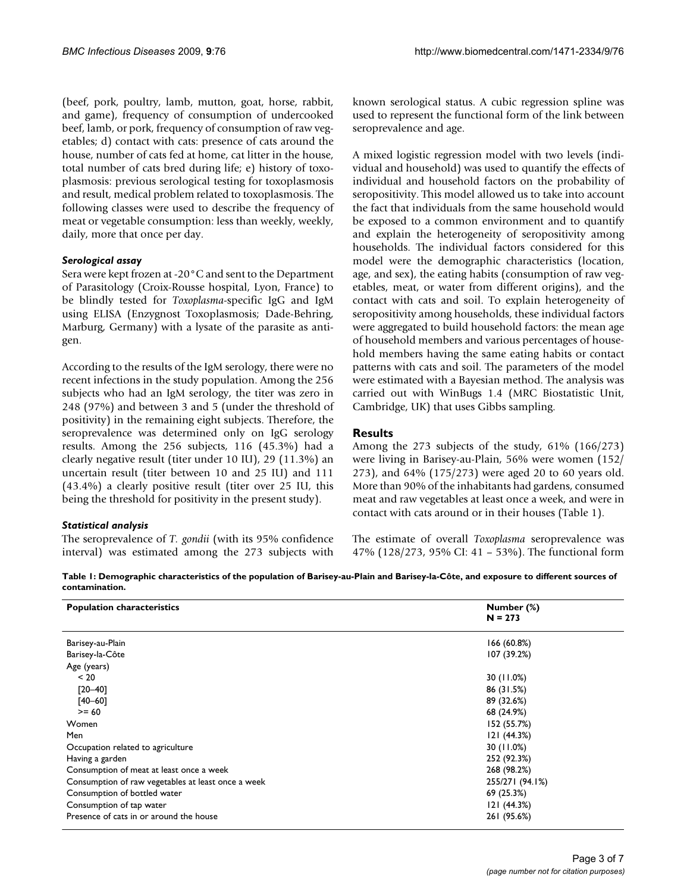(beef, pork, poultry, lamb, mutton, goat, horse, rabbit, and game), frequency of consumption of undercooked beef, lamb, or pork, frequency of consumption of raw vegetables; d) contact with cats: presence of cats around the house, number of cats fed at home, cat litter in the house, total number of cats bred during life; e) history of toxoplasmosis: previous serological testing for toxoplasmosis and result, medical problem related to toxoplasmosis. The following classes were used to describe the frequency of meat or vegetable consumption: less than weekly, weekly, daily, more that once per day.

#### *Serological assay*

Sera were kept frozen at -20°C and sent to the Department of Parasitology (Croix-Rousse hospital, Lyon, France) to be blindly tested for *Toxoplasma*-specific IgG and IgM using ELISA (Enzygnost Toxoplasmosis; Dade-Behring, Marburg, Germany) with a lysate of the parasite as antigen.

According to the results of the IgM serology, there were no recent infections in the study population. Among the 256 subjects who had an IgM serology, the titer was zero in 248 (97%) and between 3 and 5 (under the threshold of positivity) in the remaining eight subjects. Therefore, the seroprevalence was determined only on IgG serology results. Among the 256 subjects, 116 (45.3%) had a clearly negative result (titer under 10 IU), 29 (11.3%) an uncertain result (titer between 10 and 25 IU) and 111 (43.4%) a clearly positive result (titer over 25 IU, this being the threshold for positivity in the present study).

# *Statistical analysis*

The seroprevalence of *T. gondii* (with its 95% confidence interval) was estimated among the 273 subjects with known serological status. A cubic regression spline was used to represent the functional form of the link between seroprevalence and age.

A mixed logistic regression model with two levels (individual and household) was used to quantify the effects of individual and household factors on the probability of seropositivity. This model allowed us to take into account the fact that individuals from the same household would be exposed to a common environment and to quantify and explain the heterogeneity of seropositivity among households. The individual factors considered for this model were the demographic characteristics (location, age, and sex), the eating habits (consumption of raw vegetables, meat, or water from different origins), and the contact with cats and soil. To explain heterogeneity of seropositivity among households, these individual factors were aggregated to build household factors: the mean age of household members and various percentages of household members having the same eating habits or contact patterns with cats and soil. The parameters of the model were estimated with a Bayesian method. The analysis was carried out with WinBugs 1.4 (MRC Biostatistic Unit, Cambridge, UK) that uses Gibbs sampling.

# **Results**

Among the 273 subjects of the study, 61% (166/273) were living in Barisey-au-Plain, 56% were women (152/ 273), and 64% (175/273) were aged 20 to 60 years old. More than 90% of the inhabitants had gardens, consumed meat and raw vegetables at least once a week, and were in contact with cats around or in their houses (Table 1).

The estimate of overall *Toxoplasma* seroprevalence was 47% (128/273, 95% CI: 41 – 53%). The functional form

**Table 1: Demographic characteristics of the population of Barisey-au-Plain and Barisey-la-Côte, and exposure to different sources of contamination.**

| <b>Population characteristics</b>                  | Number (%)<br>$N = 273$ |
|----------------------------------------------------|-------------------------|
| Barisey-au-Plain                                   | 166 (60.8%)             |
| Barisey-la-Côte                                    | 107 (39.2%)             |
| Age (years)                                        |                         |
| < 20                                               | 30 (11.0%)              |
| $[20 - 40]$                                        | 86 (31.5%)              |
| $[40 - 60]$                                        | 89 (32.6%)              |
| $>= 60$                                            | 68 (24.9%)              |
| Women                                              | 152 (55.7%)             |
| Men                                                | 121(44.3%)              |
| Occupation related to agriculture                  | 30 (11.0%)              |
| Having a garden                                    | 252 (92.3%)             |
| Consumption of meat at least once a week           | 268 (98.2%)             |
| Consumption of raw vegetables at least once a week | 255/271 (94.1%)         |
| Consumption of bottled water                       | 69 (25.3%)              |
| Consumption of tap water                           | 121(44.3%)              |
| Presence of cats in or around the house            | 261 (95.6%)             |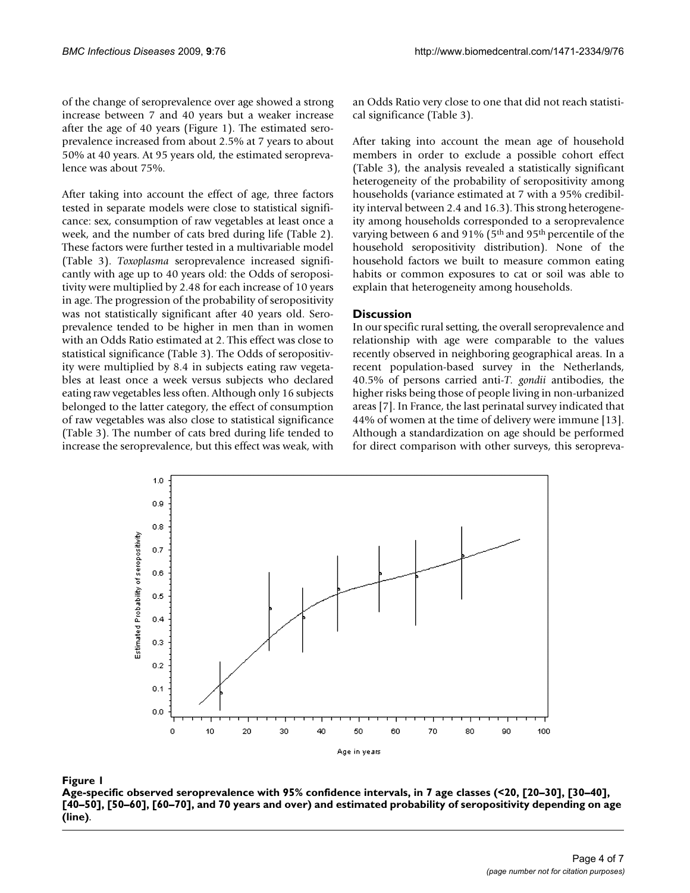of the change of seroprevalence over age showed a strong increase between 7 and 40 years but a weaker increase after the age of 40 years (Figure 1). The estimated seroprevalence increased from about 2.5% at 7 years to about 50% at 40 years. At 95 years old, the estimated seroprevalence was about 75%.

After taking into account the effect of age, three factors tested in separate models were close to statistical significance: sex, consumption of raw vegetables at least once a week, and the number of cats bred during life (Table 2). These factors were further tested in a multivariable model (Table 3). *Toxoplasma* seroprevalence increased significantly with age up to 40 years old: the Odds of seropositivity were multiplied by 2.48 for each increase of 10 years in age. The progression of the probability of seropositivity was not statistically significant after 40 years old. Seroprevalence tended to be higher in men than in women with an Odds Ratio estimated at 2. This effect was close to statistical significance (Table 3). The Odds of seropositivity were multiplied by 8.4 in subjects eating raw vegetables at least once a week versus subjects who declared eating raw vegetables less often. Although only 16 subjects belonged to the latter category, the effect of consumption of raw vegetables was also close to statistical significance (Table 3). The number of cats bred during life tended to increase the seroprevalence, but this effect was weak, with an Odds Ratio very close to one that did not reach statistical significance (Table 3).

After taking into account the mean age of household members in order to exclude a possible cohort effect (Table 3), the analysis revealed a statistically significant heterogeneity of the probability of seropositivity among households (variance estimated at 7 with a 95% credibility interval between 2.4 and 16.3). This strong heterogeneity among households corresponded to a seroprevalence varying between 6 and 91% (5th and 95th percentile of the household seropositivity distribution). None of the household factors we built to measure common eating habits or common exposures to cat or soil was able to explain that heterogeneity among households.

#### **Discussion**

In our specific rural setting, the overall seroprevalence and relationship with age were comparable to the values recently observed in neighboring geographical areas. In a recent population-based survey in the Netherlands, 40.5% of persons carried anti-*T. gondii* antibodies, the higher risks being those of people living in non-urbanized areas [7]. In France, the last perinatal survey indicated that 44% of women at the time of delivery were immune [13]. Although a standardization on age should be performed for direct comparison with other surveys, this seropreva-



#### Age-specific observed seroprevalence wi [60–70], and 70 years and over) and estimated probab **Figure 1** th 95% confidence intervals, in 7 age classes (<20, [20–30], [30–40], [40–50], [50–60], ility of seropositivity depending on age (line)

**Age-specific observed seroprevalence with 95% confidence intervals, in 7 age classes (<20, [20–30], [30–40], [40–50], [50–60], [60–70], and 70 years and over) and estimated probability of seropositivity depending on age (line)**.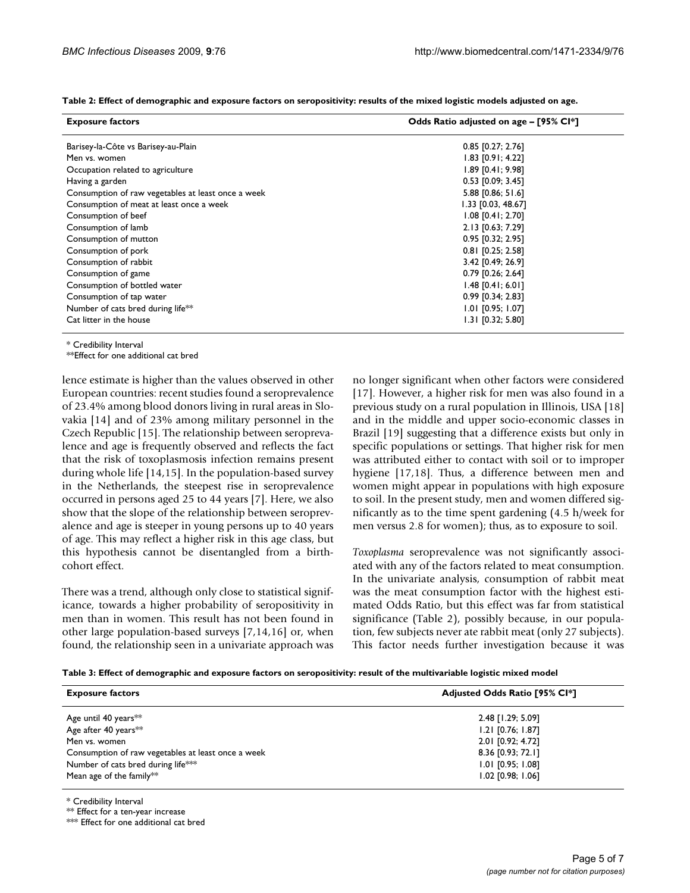| <b>Exposure factors</b>                            | Odds Ratio adjusted on age – [95% Cl*] |
|----------------------------------------------------|----------------------------------------|
| Barisey-la-Côte vs Barisey-au-Plain                | $0.85$ [0.27; 2.76]                    |
| Men vs. women                                      | $1.83$ [0.91; 4.22]                    |
| Occupation related to agriculture                  | $1.89$ [0.41; 9.98]                    |
| Having a garden                                    | $0.53$ [0.09; 3.45]                    |
| Consumption of raw vegetables at least once a week | 5.88 [0.86; 51.6]                      |
| Consumption of meat at least once a week           | 1.33 [0.03, 48.67]                     |
| Consumption of beef                                | $1.08$ [0.41; 2.70]                    |
| Consumption of lamb                                | 2.13 [0.63; 7.29]                      |
| Consumption of mutton                              | $0.95$ [0.32; 2.95]                    |
| Consumption of pork                                | 0.81 [0.25; 2.58]                      |
| Consumption of rabbit                              | 3.42 [0.49; 26.9]                      |
| Consumption of game                                | $0.79$ [0.26; 2.64]                    |
| Consumption of bottled water                       | $1.48$ [0.41; 6.01]                    |
| Consumption of tap water                           | $0.99$ [0.34; 2.83]                    |
| Number of cats bred during life <sup>**</sup>      | $1.01$ [0.95; 1.07]                    |
| Cat litter in the house                            | $1.31$ [0.32; 5.80]                    |

**Table 2: Effect of demographic and exposure factors on seropositivity: results of the mixed logistic models adjusted on age.**

\* Credibility Interval

\*\*Effect for one additional cat bred

lence estimate is higher than the values observed in other European countries: recent studies found a seroprevalence of 23.4% among blood donors living in rural areas in Slovakia [14] and of 23% among military personnel in the Czech Republic [15]. The relationship between seroprevalence and age is frequently observed and reflects the fact that the risk of toxoplasmosis infection remains present during whole life [14,15]. In the population-based survey in the Netherlands, the steepest rise in seroprevalence occurred in persons aged 25 to 44 years [7]. Here, we also show that the slope of the relationship between seroprevalence and age is steeper in young persons up to 40 years of age. This may reflect a higher risk in this age class, but this hypothesis cannot be disentangled from a birthcohort effect.

There was a trend, although only close to statistical significance, towards a higher probability of seropositivity in men than in women. This result has not been found in other large population-based surveys [7,14[,16](#page-6-1)] or, when found, the relationship seen in a univariate approach was no longer significant when other factors were considered [[17](#page-6-2)]. However, a higher risk for men was also found in a previous study on a rural population in Illinois, USA [[18\]](#page-6-3) and in the middle and upper socio-economic classes in Brazil [19] suggesting that a difference exists but only in specific populations or settings. That higher risk for men was attributed either to contact with soil or to improper hygiene [\[17](#page-6-2),[18\]](#page-6-3). Thus, a difference between men and women might appear in populations with high exposure to soil. In the present study, men and women differed significantly as to the time spent gardening (4.5 h/week for men versus 2.8 for women); thus, as to exposure to soil.

*Toxoplasma* seroprevalence was not significantly associated with any of the factors related to meat consumption. In the univariate analysis, consumption of rabbit meat was the meat consumption factor with the highest estimated Odds Ratio, but this effect was far from statistical significance (Table 2), possibly because, in our population, few subjects never ate rabbit meat (only 27 subjects). This factor needs further investigation because it was

|  |  | Table 3: Effect of demographic and exposure factors on seropositivity: result of the multivariable logistic mixed model |
|--|--|-------------------------------------------------------------------------------------------------------------------------|
|--|--|-------------------------------------------------------------------------------------------------------------------------|

| <b>Exposure factors</b>                            | <b>Adjusted Odds Ratio [95% CI*]</b> |
|----------------------------------------------------|--------------------------------------|
| Age until 40 years**                               | 2.48 [1.29; 5.09]                    |
| Age after 40 years <sup>*</sup> *                  | $1.21$ [0.76; 1.87]                  |
| Men vs. women                                      | 2.01 [0.92; 4.72]                    |
| Consumption of raw vegetables at least once a week | 8.36 [0.93; 72.1]                    |
| Number of cats bred during life***                 | $1.01$ [0.95; 1.08]                  |
| Mean age of the family**                           | $1.02$ [0.98; $1.06$ ]               |

\* Credibility Interval

\*\* Effect for a ten-year increase

\*\*\* Effect for one additional cat bred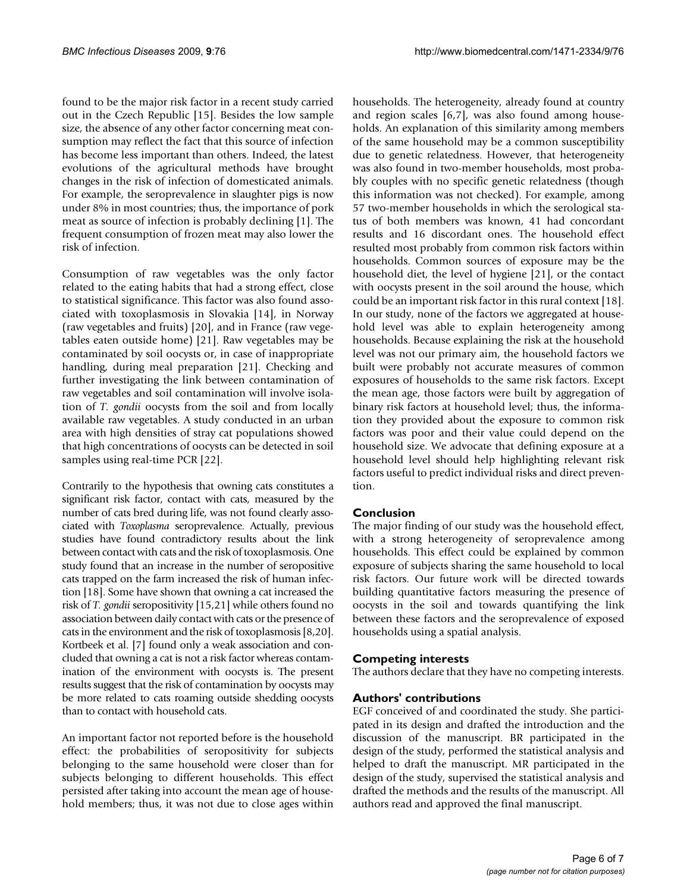found to be the major risk factor in a recent study carried out in the Czech Republic [15]. Besides the low sample size, the absence of any other factor concerning meat consumption may reflect the fact that this source of infection has become less important than others. Indeed, the latest evolutions of the agricultural methods have brought changes in the risk of infection of domesticated animals. For example, the seroprevalence in slaughter pigs is now under 8% in most countries; thus, the importance of pork meat as source of infection is probably declining [1]. The frequent consumption of frozen meat may also lower the risk of infection.

Consumption of raw vegetables was the only factor related to the eating habits that had a strong effect, close to statistical significance. This factor was also found associated with toxoplasmosis in Slovakia [14], in Norway (raw vegetables and fruits) [\[20](#page-6-4)], and in France (raw vegetables eaten outside home) [21]. Raw vegetables may be contaminated by soil oocysts or, in case of inappropriate handling, during meal preparation [21]. Checking and further investigating the link between contamination of raw vegetables and soil contamination will involve isolation of *T. gondii* oocysts from the soil and from locally available raw vegetables. A study conducted in an urban area with high densities of stray cat populations showed that high concentrations of oocysts can be detected in soil samples using real-time PCR [22].

Contrarily to the hypothesis that owning cats constitutes a significant risk factor, contact with cats, measured by the number of cats bred during life, was not found clearly associated with *Toxoplasma* seroprevalence. Actually, previous studies have found contradictory results about the link between contact with cats and the risk of toxoplasmosis. One study found that an increase in the number of seropositive cats trapped on the farm increased the risk of human infection [\[18](#page-6-3)]. Some have shown that owning a cat increased the risk of *T. gondii* seropositivity [15,21] while others found no association between daily contact with cats or the presence of cats in the environment and the risk of toxoplasmosis [8,[20\]](#page-6-4). Kortbeek et al. [7] found only a weak association and concluded that owning a cat is not a risk factor whereas contamination of the environment with oocysts is. The present results suggest that the risk of contamination by oocysts may be more related to cats roaming outside shedding oocysts than to contact with household cats.

An important factor not reported before is the household effect: the probabilities of seropositivity for subjects belonging to the same household were closer than for subjects belonging to different households. This effect persisted after taking into account the mean age of household members; thus, it was not due to close ages within households. The heterogeneity, already found at country and region scales [6,7], was also found among households. An explanation of this similarity among members of the same household may be a common susceptibility due to genetic relatedness. However, that heterogeneity was also found in two-member households, most probably couples with no specific genetic relatedness (though this information was not checked). For example, among 57 two-member households in which the serological status of both members was known, 41 had concordant results and 16 discordant ones. The household effect resulted most probably from common risk factors within households. Common sources of exposure may be the household diet, the level of hygiene [21], or the contact with oocysts present in the soil around the house, which could be an important risk factor in this rural context [\[18](#page-6-3)]. In our study, none of the factors we aggregated at household level was able to explain heterogeneity among households. Because explaining the risk at the household level was not our primary aim, the household factors we built were probably not accurate measures of common exposures of households to the same risk factors. Except the mean age, those factors were built by aggregation of binary risk factors at household level; thus, the information they provided about the exposure to common risk factors was poor and their value could depend on the household size. We advocate that defining exposure at a household level should help highlighting relevant risk factors useful to predict individual risks and direct prevention.

# **Conclusion**

The major finding of our study was the household effect, with a strong heterogeneity of seroprevalence among households. This effect could be explained by common exposure of subjects sharing the same household to local risk factors. Our future work will be directed towards building quantitative factors measuring the presence of oocysts in the soil and towards quantifying the link between these factors and the seroprevalence of exposed households using a spatial analysis.

# **Competing interests**

The authors declare that they have no competing interests.

# **Authors' contributions**

EGF conceived of and coordinated the study. She participated in its design and drafted the introduction and the discussion of the manuscript. BR participated in the design of the study, performed the statistical analysis and helped to draft the manuscript. MR participated in the design of the study, supervised the statistical analysis and drafted the methods and the results of the manuscript. All authors read and approved the final manuscript.